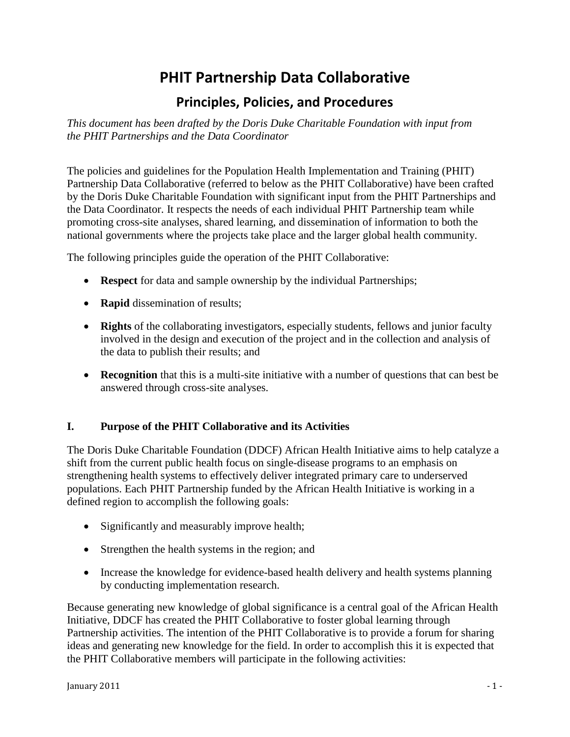# **PHIT Partnership Data Collaborative**

# **Principles, Policies, and Procedures**

*This document has been drafted by the Doris Duke Charitable Foundation with input from the PHIT Partnerships and the Data Coordinator*

The policies and guidelines for the Population Health Implementation and Training (PHIT) Partnership Data Collaborative (referred to below as the PHIT Collaborative) have been crafted by the Doris Duke Charitable Foundation with significant input from the PHIT Partnerships and the Data Coordinator. It respects the needs of each individual PHIT Partnership team while promoting cross-site analyses, shared learning, and dissemination of information to both the national governments where the projects take place and the larger global health community.

The following principles guide the operation of the PHIT Collaborative:

- **Respect** for data and sample ownership by the individual Partnerships;
- **Rapid** dissemination of results;
- **Rights** of the collaborating investigators, especially students, fellows and junior faculty involved in the design and execution of the project and in the collection and analysis of the data to publish their results; and
- **Recognition** that this is a multi-site initiative with a number of questions that can best be answered through cross-site analyses.

#### **I. Purpose of the PHIT Collaborative and its Activities**

The Doris Duke Charitable Foundation (DDCF) African Health Initiative aims to help catalyze a shift from the current public health focus on single-disease programs to an emphasis on strengthening health systems to effectively deliver integrated primary care to underserved populations. Each PHIT Partnership funded by the African Health Initiative is working in a defined region to accomplish the following goals:

- Significantly and measurably improve health;
- Strengthen the health systems in the region; and
- Increase the knowledge for evidence-based health delivery and health systems planning by conducting implementation research.

Because generating new knowledge of global significance is a central goal of the African Health Initiative, DDCF has created the PHIT Collaborative to foster global learning through Partnership activities. The intention of the PHIT Collaborative is to provide a forum for sharing ideas and generating new knowledge for the field. In order to accomplish this it is expected that the PHIT Collaborative members will participate in the following activities: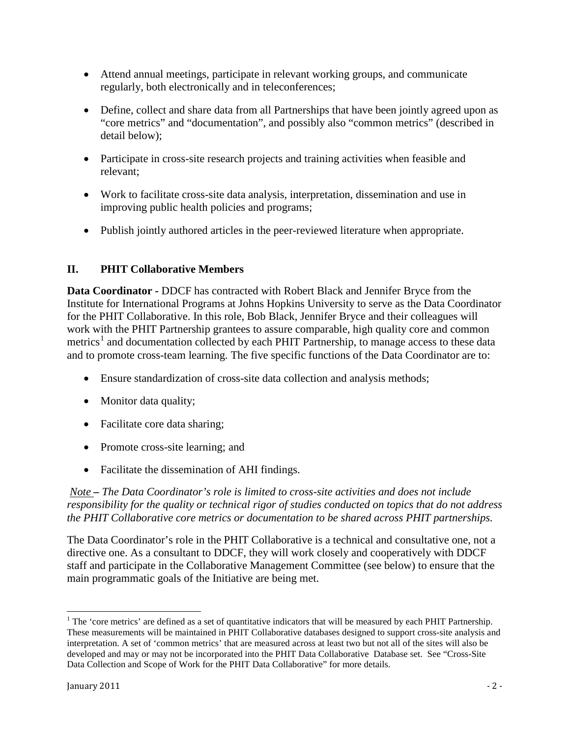- Attend annual meetings, participate in relevant working groups, and communicate regularly, both electronically and in teleconferences;
- Define, collect and share data from all Partnerships that have been jointly agreed upon as "core metrics" and "documentation", and possibly also "common metrics" (described in detail below);
- Participate in cross-site research projects and training activities when feasible and relevant;
- Work to facilitate cross-site data analysis, interpretation, dissemination and use in improving public health policies and programs;
- Publish jointly authored articles in the peer-reviewed literature when appropriate.

#### **II. PHIT Collaborative Members**

**Data Coordinator -** DDCF has contracted with Robert Black and Jennifer Bryce from the Institute for International Programs at Johns Hopkins University to serve as the Data Coordinator for the PHIT Collaborative. In this role, Bob Black, Jennifer Bryce and their colleagues will work with the PHIT Partnership grantees to assure comparable, high quality core and common metrics<sup>[1](#page-1-0)</sup> and documentation collected by each PHIT Partnership, to manage access to these data and to promote cross-team learning. The five specific functions of the Data Coordinator are to:

- Ensure standardization of cross-site data collection and analysis methods;
- Monitor data quality;
- Facilitate core data sharing;
- Promote cross-site learning; and
- Facilitate the dissemination of AHI findings.

*Note – The Data Coordinator's role is limited to cross-site activities and does not include responsibility for the quality or technical rigor of studies conducted on topics that do not address the PHIT Collaborative core metrics or documentation to be shared across PHIT partnerships.*

The Data Coordinator's role in the PHIT Collaborative is a technical and consultative one, not a directive one. As a consultant to DDCF, they will work closely and cooperatively with DDCF staff and participate in the Collaborative Management Committee (see below) to ensure that the main programmatic goals of the Initiative are being met.

ı

<span id="page-1-0"></span><sup>&</sup>lt;sup>1</sup> The 'core metrics' are defined as a set of quantitative indicators that will be measured by each PHIT Partnership. These measurements will be maintained in PHIT Collaborative databases designed to support cross-site analysis and interpretation. A set of 'common metrics' that are measured across at least two but not all of the sites will also be developed and may or may not be incorporated into the PHIT Data Collaborative Database set. See "Cross-Site Data Collection and Scope of Work for the PHIT Data Collaborative" for more details.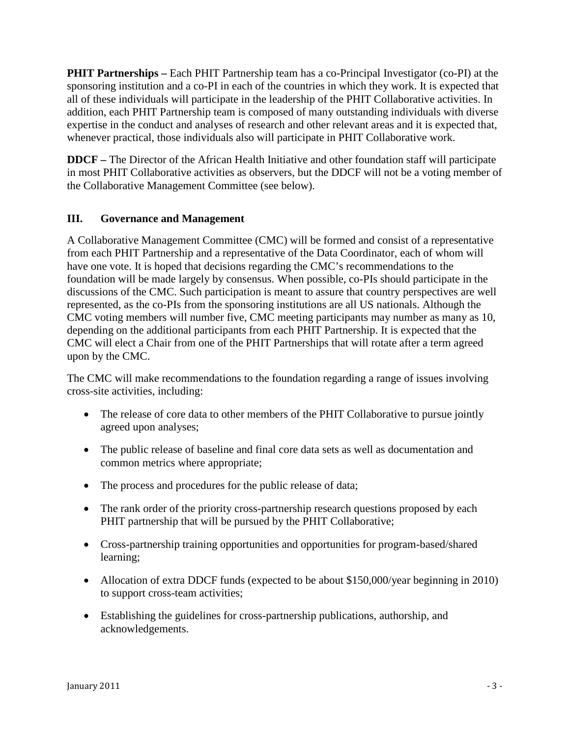**PHIT Partnerships –** Each PHIT Partnership team has a co-Principal Investigator (co-PI) at the sponsoring institution and a co-PI in each of the countries in which they work. It is expected that all of these individuals will participate in the leadership of the PHIT Collaborative activities. In addition, each PHIT Partnership team is composed of many outstanding individuals with diverse expertise in the conduct and analyses of research and other relevant areas and it is expected that, whenever practical, those individuals also will participate in PHIT Collaborative work.

**DDCF –** The Director of the African Health Initiative and other foundation staff will participate in most PHIT Collaborative activities as observers, but the DDCF will not be a voting member of the Collaborative Management Committee (see below).

#### **III. Governance and Management**

A Collaborative Management Committee (CMC) will be formed and consist of a representative from each PHIT Partnership and a representative of the Data Coordinator, each of whom will have one vote. It is hoped that decisions regarding the CMC's recommendations to the foundation will be made largely by consensus. When possible, co-PIs should participate in the discussions of the CMC. Such participation is meant to assure that country perspectives are well represented, as the co-PIs from the sponsoring institutions are all US nationals. Although the CMC voting members will number five, CMC meeting participants may number as many as 10, depending on the additional participants from each PHIT Partnership. It is expected that the CMC will elect a Chair from one of the PHIT Partnerships that will rotate after a term agreed upon by the CMC.

The CMC will make recommendations to the foundation regarding a range of issues involving cross-site activities, including:

- The release of core data to other members of the PHIT Collaborative to pursue jointly agreed upon analyses;
- The public release of baseline and final core data sets as well as documentation and common metrics where appropriate;
- The process and procedures for the public release of data;
- The rank order of the priority cross-partnership research questions proposed by each PHIT partnership that will be pursued by the PHIT Collaborative;
- Cross-partnership training opportunities and opportunities for program-based/shared learning;
- Allocation of extra DDCF funds (expected to be about \$150,000/year beginning in 2010) to support cross-team activities;
- Establishing the guidelines for cross-partnership publications, authorship, and acknowledgements.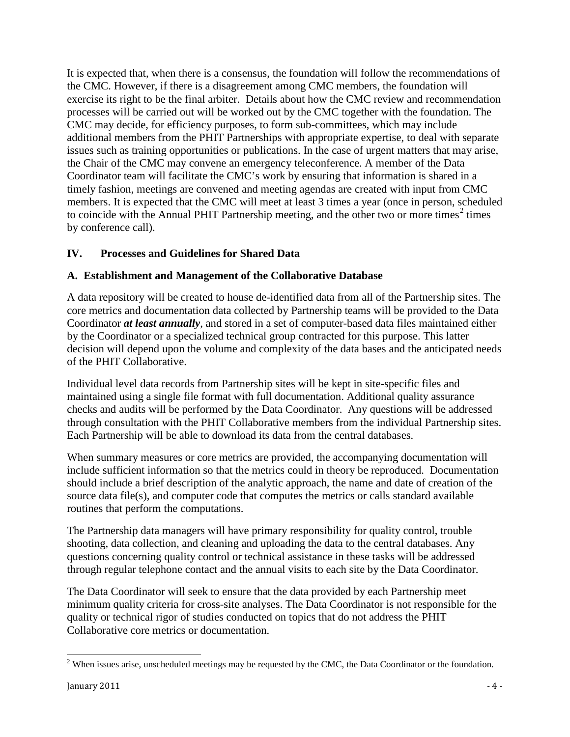It is expected that, when there is a consensus, the foundation will follow the recommendations of the CMC. However, if there is a disagreement among CMC members, the foundation will exercise its right to be the final arbiter. Details about how the CMC review and recommendation processes will be carried out will be worked out by the CMC together with the foundation. The CMC may decide, for efficiency purposes, to form sub-committees, which may include additional members from the PHIT Partnerships with appropriate expertise, to deal with separate issues such as training opportunities or publications. In the case of urgent matters that may arise, the Chair of the CMC may convene an emergency teleconference. A member of the Data Coordinator team will facilitate the CMC's work by ensuring that information is shared in a timely fashion, meetings are convened and meeting agendas are created with input from CMC members. It is expected that the CMC will meet at least 3 times a year (once in person, scheduled to coincide with the Annual PHIT Partnership meeting, and the other two or more times<sup>[2](#page-3-0)</sup> times by conference call).

### **IV. Processes and Guidelines for Shared Data**

#### **A. Establishment and Management of the Collaborative Database**

A data repository will be created to house de-identified data from all of the Partnership sites. The core metrics and documentation data collected by Partnership teams will be provided to the Data Coordinator *at least annually*, and stored in a set of computer-based data files maintained either by the Coordinator or a specialized technical group contracted for this purpose. This latter decision will depend upon the volume and complexity of the data bases and the anticipated needs of the PHIT Collaborative.

Individual level data records from Partnership sites will be kept in site-specific files and maintained using a single file format with full documentation. Additional quality assurance checks and audits will be performed by the Data Coordinator. Any questions will be addressed through consultation with the PHIT Collaborative members from the individual Partnership sites. Each Partnership will be able to download its data from the central databases.

When summary measures or core metrics are provided, the accompanying documentation will include sufficient information so that the metrics could in theory be reproduced. Documentation should include a brief description of the analytic approach, the name and date of creation of the source data file(s), and computer code that computes the metrics or calls standard available routines that perform the computations.

The Partnership data managers will have primary responsibility for quality control, trouble shooting, data collection, and cleaning and uploading the data to the central databases. Any questions concerning quality control or technical assistance in these tasks will be addressed through regular telephone contact and the annual visits to each site by the Data Coordinator.

The Data Coordinator will seek to ensure that the data provided by each Partnership meet minimum quality criteria for cross-site analyses. The Data Coordinator is not responsible for the quality or technical rigor of studies conducted on topics that do not address the PHIT Collaborative core metrics or documentation.

l

<span id="page-3-0"></span><sup>&</sup>lt;sup>2</sup> When issues arise, unscheduled meetings may be requested by the CMC, the Data Coordinator or the foundation.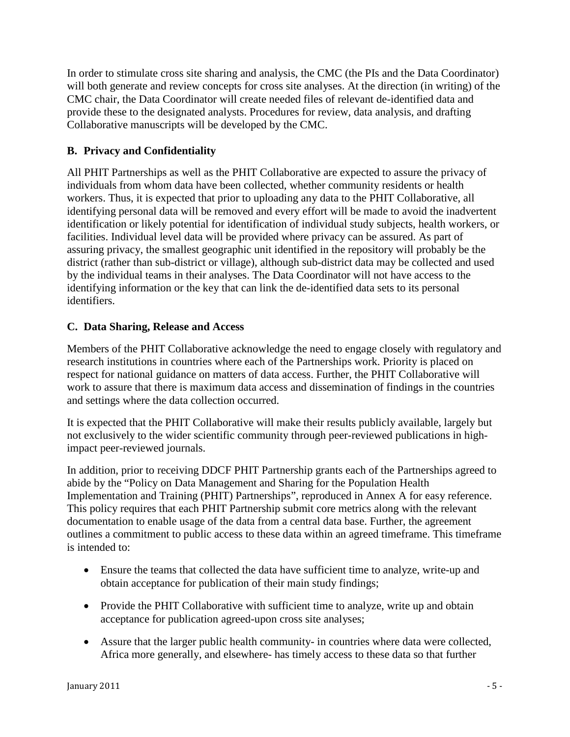In order to stimulate cross site sharing and analysis, the CMC (the PIs and the Data Coordinator) will both generate and review concepts for cross site analyses. At the direction (in writing) of the CMC chair, the Data Coordinator will create needed files of relevant de-identified data and provide these to the designated analysts. Procedures for review, data analysis, and drafting Collaborative manuscripts will be developed by the CMC.

#### **B. Privacy and Confidentiality**

All PHIT Partnerships as well as the PHIT Collaborative are expected to assure the privacy of individuals from whom data have been collected, whether community residents or health workers. Thus, it is expected that prior to uploading any data to the PHIT Collaborative, all identifying personal data will be removed and every effort will be made to avoid the inadvertent identification or likely potential for identification of individual study subjects, health workers, or facilities. Individual level data will be provided where privacy can be assured. As part of assuring privacy, the smallest geographic unit identified in the repository will probably be the district (rather than sub-district or village), although sub-district data may be collected and used by the individual teams in their analyses. The Data Coordinator will not have access to the identifying information or the key that can link the de-identified data sets to its personal identifiers.

#### **C. Data Sharing, Release and Access**

Members of the PHIT Collaborative acknowledge the need to engage closely with regulatory and research institutions in countries where each of the Partnerships work. Priority is placed on respect for national guidance on matters of data access. Further, the PHIT Collaborative will work to assure that there is maximum data access and dissemination of findings in the countries and settings where the data collection occurred.

It is expected that the PHIT Collaborative will make their results publicly available, largely but not exclusively to the wider scientific community through peer-reviewed publications in highimpact peer-reviewed journals.

In addition, prior to receiving DDCF PHIT Partnership grants each of the Partnerships agreed to abide by the "Policy on Data Management and Sharing for the Population Health Implementation and Training (PHIT) Partnerships", reproduced in Annex A for easy reference. This policy requires that each PHIT Partnership submit core metrics along with the relevant documentation to enable usage of the data from a central data base. Further, the agreement outlines a commitment to public access to these data within an agreed timeframe. This timeframe is intended to:

- Ensure the teams that collected the data have sufficient time to analyze, write-up and obtain acceptance for publication of their main study findings;
- Provide the PHIT Collaborative with sufficient time to analyze, write up and obtain acceptance for publication agreed-upon cross site analyses;
- Assure that the larger public health community- in countries where data were collected, Africa more generally, and elsewhere- has timely access to these data so that further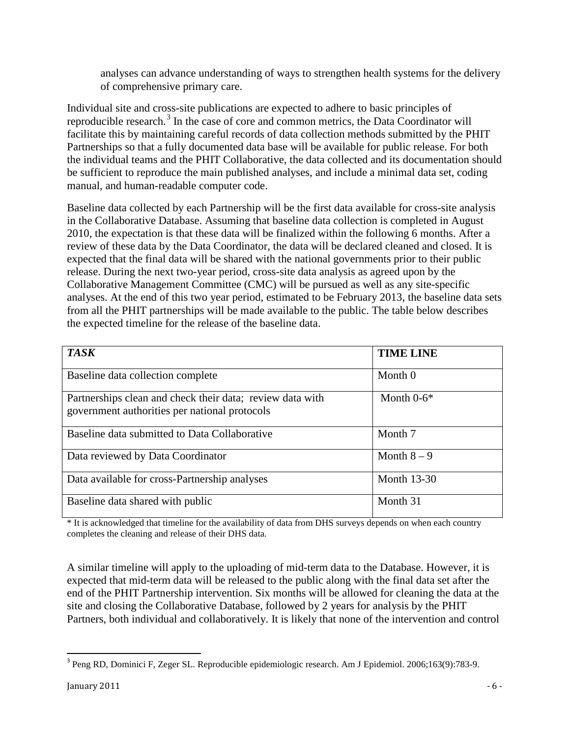analyses can advance understanding of ways to strengthen health systems for the delivery of comprehensive primary care.

Individual site and cross-site publications are expected to adhere to basic principles of reproducible research.<sup>[3](#page-5-0)</sup> In the case of core and common metrics, the Data Coordinator will facilitate this by maintaining careful records of data collection methods submitted by the PHIT Partnerships so that a fully documented data base will be available for public release. For both the individual teams and the PHIT Collaborative, the data collected and its documentation should be sufficient to reproduce the main published analyses, and include a minimal data set, coding manual, and human-readable computer code.

Baseline data collected by each Partnership will be the first data available for cross-site analysis in the Collaborative Database. Assuming that baseline data collection is completed in August 2010, the expectation is that these data will be finalized within the following 6 months. After a review of these data by the Data Coordinator, the data will be declared cleaned and closed. It is expected that the final data will be shared with the national governments prior to their public release. During the next two-year period, cross-site data analysis as agreed upon by the Collaborative Management Committee (CMC) will be pursued as well as any site-specific analyses. At the end of this two year period, estimated to be February 2013, the baseline data sets from all the PHIT partnerships will be made available to the public. The table below describes the expected timeline for the release of the baseline data.

| <b>TASK</b>                                                                                                | <b>TIME LINE</b>   |
|------------------------------------------------------------------------------------------------------------|--------------------|
| Baseline data collection complete                                                                          | Month 0            |
| Partnerships clean and check their data; review data with<br>government authorities per national protocols | Month $0-6*$       |
| Baseline data submitted to Data Collaborative                                                              | Month 7            |
| Data reviewed by Data Coordinator                                                                          | Month $8-9$        |
| Data available for cross-Partnership analyses                                                              | <b>Month 13-30</b> |
| Baseline data shared with public                                                                           | Month 31           |

\* It is acknowledged that timeline for the availability of data from DHS surveys depends on when each country completes the cleaning and release of their DHS data.

A similar timeline will apply to the uploading of mid-term data to the Database. However, it is expected that mid-term data will be released to the public along with the final data set after the end of the PHIT Partnership intervention. Six months will be allowed for cleaning the data at the site and closing the Collaborative Database, followed by 2 years for analysis by the PHIT Partners, both individual and collaboratively. It is likely that none of the intervention and control

<span id="page-5-0"></span> <sup>3</sup> Peng RD, Dominici F, Zeger SL. Reproducible epidemiologic research. Am J Epidemiol. 2006;163(9):783-9.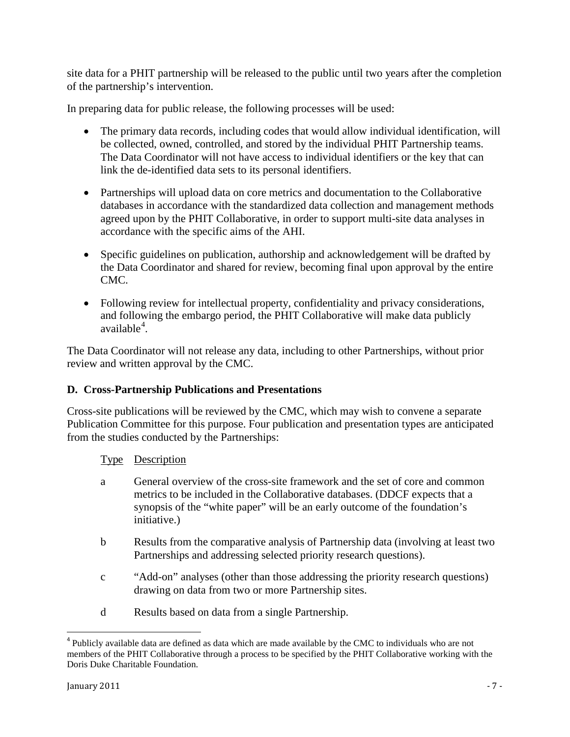site data for a PHIT partnership will be released to the public until two years after the completion of the partnership's intervention.

In preparing data for public release, the following processes will be used:

- The primary data records, including codes that would allow individual identification, will be collected, owned, controlled, and stored by the individual PHIT Partnership teams. The Data Coordinator will not have access to individual identifiers or the key that can link the de-identified data sets to its personal identifiers.
- Partnerships will upload data on core metrics and documentation to the Collaborative databases in accordance with the standardized data collection and management methods agreed upon by the PHIT Collaborative, in order to support multi-site data analyses in accordance with the specific aims of the AHI.
- Specific guidelines on publication, authorship and acknowledgement will be drafted by the Data Coordinator and shared for review, becoming final upon approval by the entire CMC.
- Following review for intellectual property, confidentiality and privacy considerations, and following the embargo period, the PHIT Collaborative will make data publicly available<sup>[4](#page-6-0)</sup>.

The Data Coordinator will not release any data, including to other Partnerships, without prior review and written approval by the CMC.

#### **D. Cross-Partnership Publications and Presentations**

Cross-site publications will be reviewed by the CMC, which may wish to convene a separate Publication Committee for this purpose. Four publication and presentation types are anticipated from the studies conducted by the Partnerships:

#### Type Description

- a General overview of the cross-site framework and the set of core and common metrics to be included in the Collaborative databases. (DDCF expects that a synopsis of the "white paper" will be an early outcome of the foundation's initiative.)
- b Results from the comparative analysis of Partnership data (involving at least two Partnerships and addressing selected priority research questions).
- c "Add-on" analyses (other than those addressing the priority research questions) drawing on data from two or more Partnership sites.
- d Results based on data from a single Partnership.

<span id="page-6-0"></span> $<sup>4</sup>$  Publicly available data are defined as data which are made available by the CMC to individuals who are not</sup> members of the PHIT Collaborative through a process to be specified by the PHIT Collaborative working with the Doris Duke Charitable Foundation.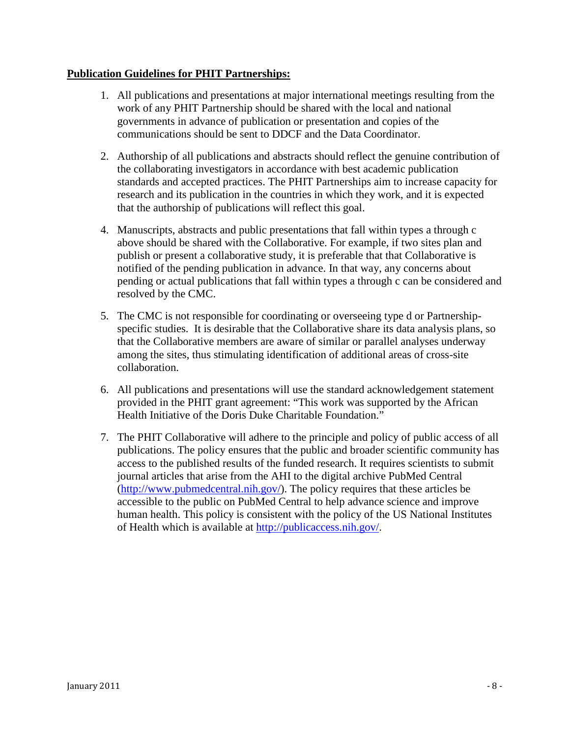#### **Publication Guidelines for PHIT Partnerships:**

- 1. All publications and presentations at major international meetings resulting from the work of any PHIT Partnership should be shared with the local and national governments in advance of publication or presentation and copies of the communications should be sent to DDCF and the Data Coordinator.
- 2. Authorship of all publications and abstracts should reflect the genuine contribution of the collaborating investigators in accordance with best academic publication standards and accepted practices. The PHIT Partnerships aim to increase capacity for research and its publication in the countries in which they work, and it is expected that the authorship of publications will reflect this goal.
- 4. Manuscripts, abstracts and public presentations that fall within types a through c above should be shared with the Collaborative. For example, if two sites plan and publish or present a collaborative study, it is preferable that that Collaborative is notified of the pending publication in advance. In that way, any concerns about pending or actual publications that fall within types a through c can be considered and resolved by the CMC.
- 5. The CMC is not responsible for coordinating or overseeing type d or Partnershipspecific studies. It is desirable that the Collaborative share its data analysis plans, so that the Collaborative members are aware of similar or parallel analyses underway among the sites, thus stimulating identification of additional areas of cross-site collaboration.
- 6. All publications and presentations will use the standard acknowledgement statement provided in the PHIT grant agreement: "This work was supported by the African Health Initiative of the Doris Duke Charitable Foundation."
- 7. The PHIT Collaborative will adhere to the principle and policy of public access of all publications. The policy ensures that the public and broader scientific community has access to the published results of the funded research. It requires scientists to submit journal articles that arise from the AHI to the digital archive PubMed Central [\(http://www.pubmedcentral.nih.gov/\)](http://www.pubmedcentral.nih.gov/). The policy requires that these articles be accessible to the public on PubMed Central to help advance science and improve human health. This policy is consistent with the policy of the US National Institutes of Health which is available at [http://publicaccess.nih.gov/.](http://publicaccess.nih.gov/)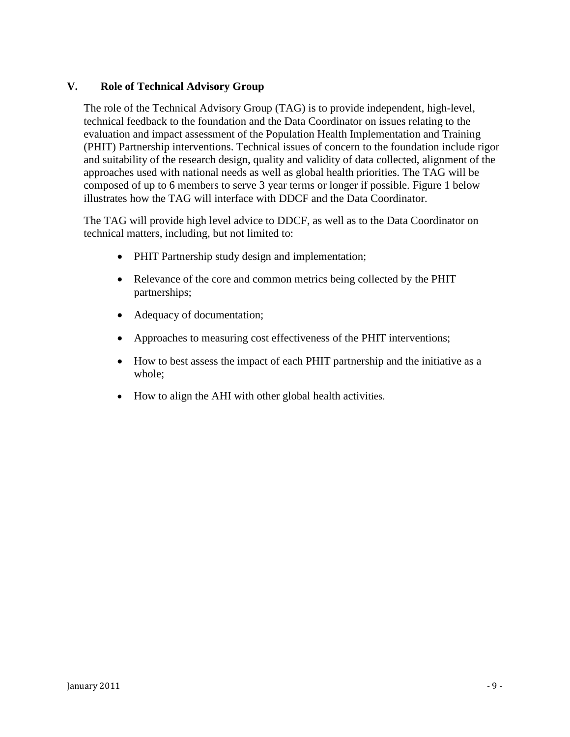#### **V. Role of Technical Advisory Group**

The role of the Technical Advisory Group (TAG) is to provide independent, high-level, technical feedback to the foundation and the Data Coordinator on issues relating to the evaluation and impact assessment of the Population Health Implementation and Training (PHIT) Partnership interventions. Technical issues of concern to the foundation include rigor and suitability of the research design, quality and validity of data collected, alignment of the approaches used with national needs as well as global health priorities. The TAG will be composed of up to 6 members to serve 3 year terms or longer if possible. Figure 1 below illustrates how the TAG will interface with DDCF and the Data Coordinator.

The TAG will provide high level advice to DDCF, as well as to the Data Coordinator on technical matters, including, but not limited to:

- PHIT Partnership study design and implementation;
- Relevance of the core and common metrics being collected by the PHIT partnerships;
- Adequacy of documentation;
- Approaches to measuring cost effectiveness of the PHIT interventions;
- How to best assess the impact of each PHIT partnership and the initiative as a whole;
- How to align the AHI with other global health activities.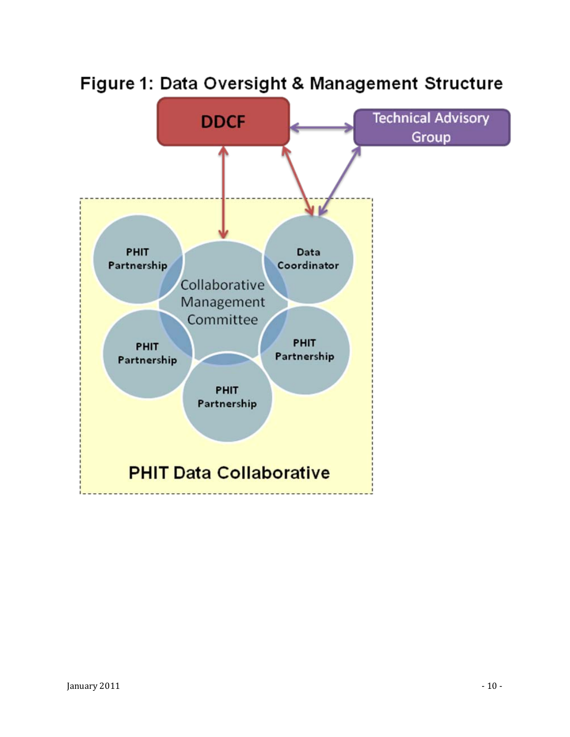

# Figure 1: Data Oversight & Management Structure